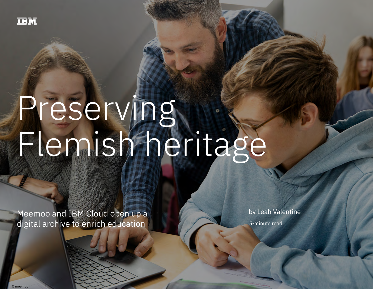

# Preserving Flemish heritage

Meemoo and IBM Cloud open up a digital archive to enrich education 10 million 10 million 10 million 10 million

Meemoo and IBM Cloud open up a digital archive to enrich education

by Leah Valentine

5-minute read

© meemoo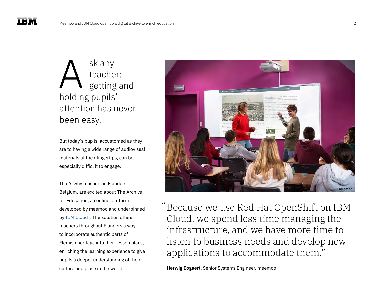sk any teacher: getting and holding pupils' attention has never been easy. A

But today's pupils, accustomed as they are to having a wide range of audiovisual materials at their fingertips, can be especially difficult to engage.

That's why teachers in Flanders, Belgium, are excited about The Archive for Education, an online platform developed by meemoo and underpinned by [IBM Cloud®](https://www.ibm.com/cloud). The solution offers teachers throughout Flanders a way to incorporate authentic parts of Flemish heritage into their lesson plans, enriching the learning experience to give pupils a deeper understanding of their culture and place in the world.



Because we use Red Hat OpenShift on IBM " Cloud, we spend less time managing the infrastructure, and we have more time to listen to business needs and develop new applications to accommodate them."

**Herwig Bogaert**, Senior Systems Engineer, meemoo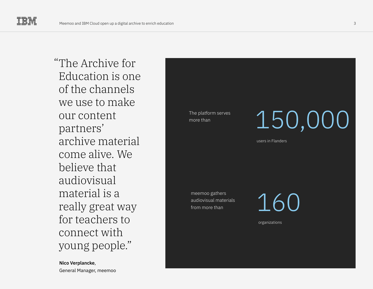The Archive for " Education is one of the channels we use to make our content partners' archive material come alive. We believe that audiovisual material is a really great way for teachers to connect with young people."

**Nico Verplancke**, General Manager, meemoo The platform serves

## The platform serves  $150,000$

users in Flanders

meemoo gathers audiovisual materials from more than

160

organizations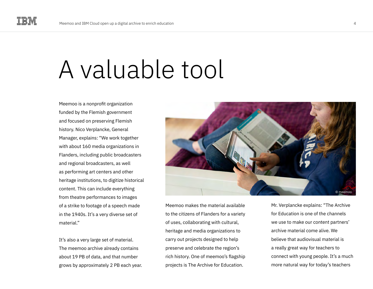### A valuable tool

Meemoo is a nonprofit organization funded by the Flemish government and focused on preserving Flemish history. Nico Verplancke, General Manager, explains: "We work together with about 160 media organizations in Flanders, including public broadcasters and regional broadcasters, as well as performing art centers and other heritage institutions, to digitize historical content. This can include everything from theatre performances to images of a strike to footage of a speech made in the 1940s. It's a very diverse set of material"

It's also a very large set of material. The meemoo archive already contains about 19 PB of data, and that number grows by approximately 2 PB each year.



Meemoo makes the material available to the citizens of Flanders for a variety of uses, collaborating with cultural, heritage and media organizations to carry out projects designed to help preserve and celebrate the region's rich history. One of meemoo's flagship projects is The Archive for Education.

Mr. Verplancke explains: "The Archive for Education is one of the channels we use to make our content partners' archive material come alive. We believe that audiovisual material is a really great way for teachers to connect with young people. It's a much more natural way for today's teachers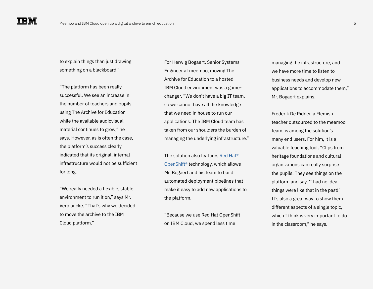to explain things than just drawing something on a blackboard."

"The platform has been really successful. We see an increase in the number of teachers and pupils using The Archive for Education while the available audiovisual material continues to grow," he says. However, as is often the case, the platform's success clearly indicated that its original, internal infrastructure would not be sufficient for long.

"We really needed a flexible, stable environment to run it on," says Mr. Verplancke. "That's why we decided to move the archive to the IBM Cloud platform."

For Herwig Bogaert, Senior Systems Engineer at meemoo, moving The Archive for Education to a hosted IBM Cloud environment was a gamechanger. "We don't have a big IT team, so we cannot have all the knowledge that we need in house to run our applications. The IBM Cloud team has taken from our shoulders the burden of managing the underlying infrastructure."

The solution also features [Red Hat®](https://www.ibm.com/cloud/openshift)  [OpenShift®](https://www.ibm.com/cloud/openshift) technology, which allows Mr. Bogaert and his team to build automated deployment pipelines that make it easy to add new applications to the platform.

"Because we use Red Hat OpenShift on IBM Cloud, we spend less time

managing the infrastructure, and we have more time to listen to business needs and develop new applications to accommodate them," Mr. Bogaert explains.

Frederik De Ridder, a Flemish teacher outsourced to the meemoo team, is among the solution's many end users. For him, it is a valuable teaching tool. "Clips from heritage foundations and cultural organizations can really surprise the pupils. They see things on the platform and say, 'I had no idea things were like that in the past!' It's also a great way to show them different aspects of a single topic, which I think is very important to do in the classroom," he says.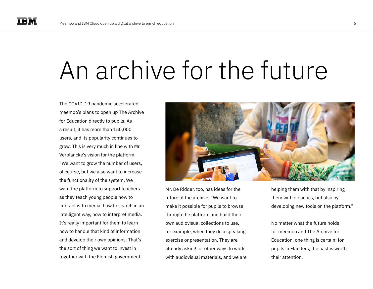## An archive for the future

The COVID-19 pandemic accelerated meemoo's plans to open up The Archive for Education directly to pupils. As a result, it has more than 150,000 users, and its popularity continues to grow. This is very much in line with Mr. Verplancke's vision for the platform. "We want to grow the number of users, of course, but we also want to increase the functionality of the system. We want the platform to support teachers as they teach young people how to interact with media, how to search in an intelligent way, how to interpret media. It's really important for them to learn how to handle that kind of information and develop their own opinions. That's the sort of thing we want to invest in together with the Flemish government."



Mr. De Ridder, too, has ideas for the future of the archive. "We want to make it possible for pupils to browse through the platform and build their own audiovisual collections to use, for example, when they do a speaking exercise or presentation. They are already asking for other ways to work with audiovisual materials, and we are helping them with that by inspiring them with didactics, but also by developing new tools on the platform."

No matter what the future holds for meemoo and The Archive for Education, one thing is certain: for pupils in Flanders, the past is worth their attention.